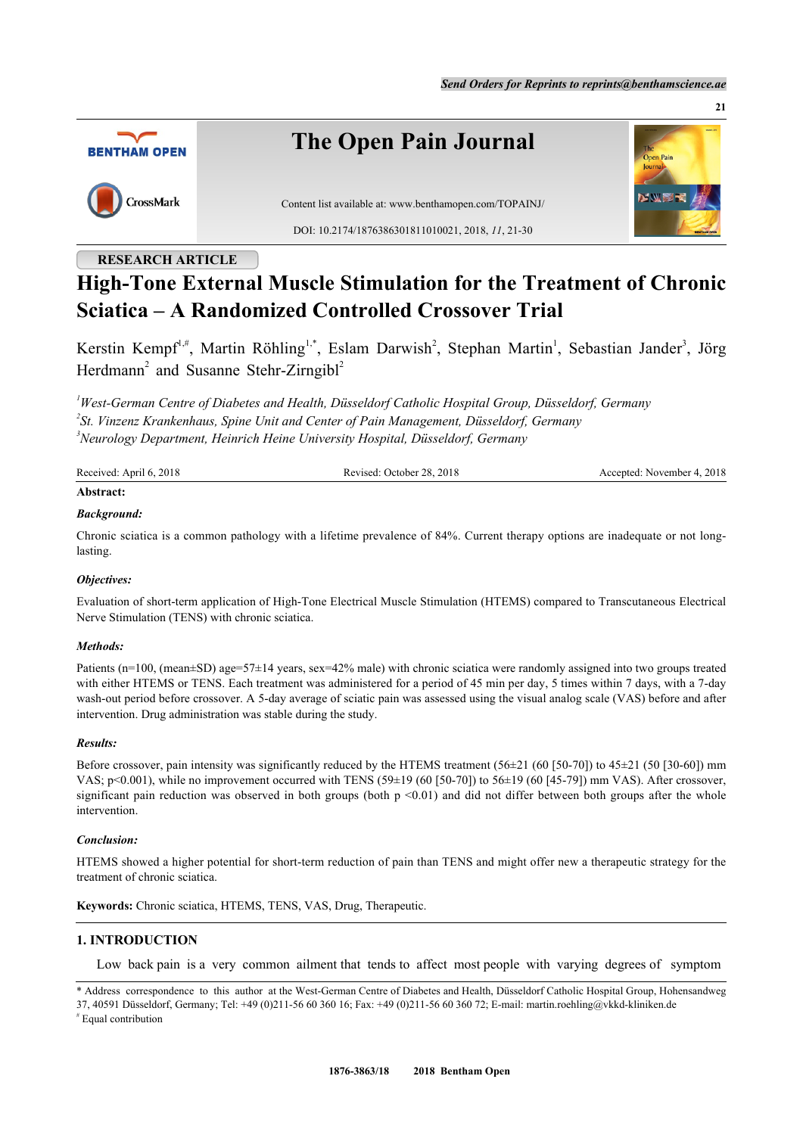**21**



# **High-Tone External Muscle Stimulation for the Treatment of Chronic Sciatica – A Randomized Controlled Crossover Trial**

Kerstin Kempf<sup>[1](#page-0-0),#</sup>, Martin Röhling<sup>[1,](#page-0-0)[\\*](#page-0-1)</sup>, Eslam Darwish<sup>[2](#page-0-2)</sup>, Stephan Martin<sup>1</sup>, Sebastian Jander<sup>[3](#page-0-3)</sup>, Jörg Herdmann<sup>[2](#page-0-2)</sup> and Susanne Stehr-Zirngibl<sup>2</sup>

<span id="page-0-3"></span><span id="page-0-2"></span><span id="page-0-0"></span>*<sup>1</sup>West-German Centre of Diabetes and Health, Düsseldorf Catholic Hospital Group, Düsseldorf, Germany 2 St. Vinzenz Krankenhaus, Spine Unit and Center of Pain Management, Düsseldorf, Germany <sup>3</sup>Neurology Department, Heinrich Heine University Hospital, Düsseldorf, Germany*

| Received: April 6, 2018 | Revised: October 28, 2018 | Accepted: November 4, 2018 |
|-------------------------|---------------------------|----------------------------|
| Abstract:               |                           |                            |

## *Background:*

Chronic sciatica is a common pathology with a lifetime prevalence of 84%. Current therapy options are inadequate or not longlasting.

#### *Objectives:*

Evaluation of short-term application of High-Tone Electrical Muscle Stimulation (HTEMS) compared to Transcutaneous Electrical Nerve Stimulation (TENS) with chronic sciatica.

#### *Methods:*

Patients (n=100, (mean±SD) age=57±14 years, sex=42% male) with chronic sciatica were randomly assigned into two groups treated with either HTEMS or TENS. Each treatment was administered for a period of 45 min per day, 5 times within 7 days, with a 7-day wash-out period before crossover. A 5-day average of sciatic pain was assessed using the visual analog scale (VAS) before and after intervention. Drug administration was stable during the study.

#### *Results:*

Before crossover, pain intensity was significantly reduced by the HTEMS treatment  $(56\pm21)$  (60 [50-70]) to  $45\pm21$  (50 [30-60]) mm VAS;  $p<0.001$ ), while no improvement occurred with TENS (59 $\pm$ 19 (60 [50-70]) to 56 $\pm$ 19 (60 [45-79]) mm VAS). After crossover, significant pain reduction was observed in both groups (both  $p \le 0.01$ ) and did not differ between both groups after the whole intervention.

#### *Conclusion:*

HTEMS showed a higher potential for short-term reduction of pain than TENS and might offer new a therapeutic strategy for the treatment of chronic sciatica.

**Keywords:** Chronic sciatica, HTEMS, TENS, VAS, Drug, Therapeutic.

# **1. INTRODUCTION**

Low back pain is a very common ailment that tends to affect most people with varying degrees of symptom

<span id="page-0-1"></span><sup>\*</sup> Address correspondence to this author at the West-German Centre of Diabetes and Health, Düsseldorf Catholic Hospital Group, Hohensandweg 37, 40591 Düsseldorf, Germany; Tel: +49 (0)211-56 60 360 16; Fax: +49 (0)211-56 60 360 72; E-mail: [martin.roehling@vkkd-kliniken.de](mailto:martin.roehling@vkkd-kliniken.de)

<sup>#</sup> Equal contribution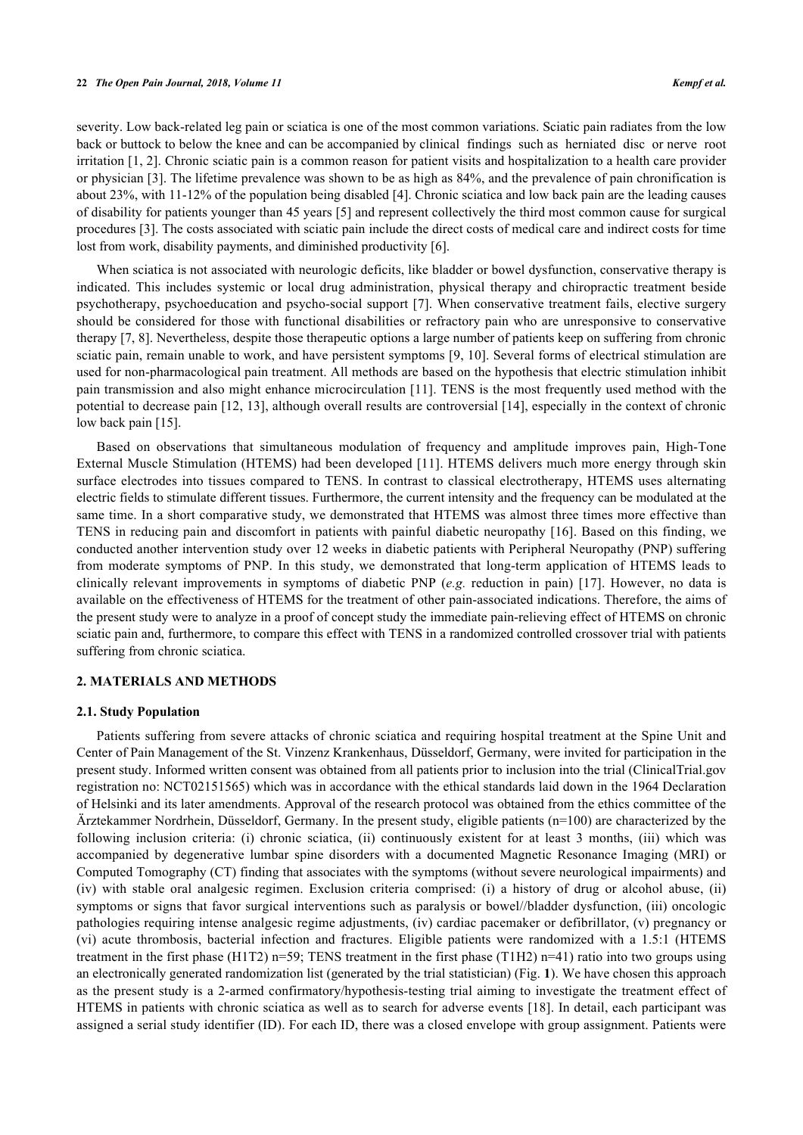#### **22** *The Open Pain Journal, 2018, Volume 11 Kempf et al.*

severity. Low back-related leg pain or sciatica is one of the most common variations. Sciatic pain radiates from the low back or buttock to below the knee and can be accompanied by clinical findings such as herniated disc or nerve root irritation [\[1](#page-7-0), [2\]](#page-7-1). Chronic sciatic pain is a common reason for patient visits and hospitalization to a health care provider or physician [[3\]](#page-7-2). The lifetime prevalence was shown to be as high as 84%, and the prevalence of pain chronification is about 23%, with 11-12% of the population being disabled [\[4](#page-7-3)]. Chronic sciatica and low back pain are the leading causes of disability for patients younger than 45 years [\[5](#page-7-4)] and represent collectively the third most common cause for surgical procedures [[3\]](#page-7-2). The costs associated with sciatic pain include the direct costs of medical care and indirect costs for time lost from work, disability payments, and diminished productivity [[6\]](#page-8-0).

When sciatica is not associated with neurologic deficits, like bladder or bowel dysfunction, conservative therapy is indicated. This includes systemic or local drug administration, physical therapy and chiropractic treatment beside psychotherapy, psychoeducation and psycho-social support [[7\]](#page-8-1). When conservative treatment fails, elective surgery should be considered for those with functional disabilities or refractory pain who are unresponsive to conservative therapy [[7,](#page-8-1) [8\]](#page-8-2). Nevertheless, despite those therapeutic options a large number of patients keep on suffering from chronic sciatic pain, remain unable to work, and have persistent symptoms [\[9](#page-8-3), [10](#page-8-4)]. Several forms of electrical stimulation are used for non-pharmacological pain treatment. All methods are based on the hypothesis that electric stimulation inhibit pain transmission and also might enhance microcirculation [[11\]](#page-8-5). TENS is the most frequently used method with the potential to decrease pain [\[12,](#page-8-6) [13](#page-8-7)], although overall results are controversial [[14\]](#page-8-8), especially in the context of chronic low back pain [[15\]](#page-8-9).

Based on observations that simultaneous modulation of frequency and amplitude improves pain, High-Tone External Muscle Stimulation (HTEMS) had been developed [[11\]](#page-8-5). HTEMS delivers much more energy through skin surface electrodes into tissues compared to TENS. In contrast to classical electrotherapy, HTEMS uses alternating electric fields to stimulate different tissues. Furthermore, the current intensity and the frequency can be modulated at the same time. In a short comparative study, we demonstrated that HTEMS was almost three times more effective than TENS in reducing pain and discomfort in patients with painful diabetic neuropathy [[16\]](#page-8-10). Based on this finding, we conducted another intervention study over 12 weeks in diabetic patients with Peripheral Neuropathy (PNP) suffering from moderate symptoms of PNP. In this study, we demonstrated that long-term application of HTEMS leads to clinically relevant improvements in symptoms of diabetic PNP (*e.g.* reduction in pain)[[17\]](#page-8-11). However, no data is available on the effectiveness of HTEMS for the treatment of other pain-associated indications. Therefore, the aims of the present study were to analyze in a proof of concept study the immediate pain-relieving effect of HTEMS on chronic sciatic pain and, furthermore, to compare this effect with TENS in a randomized controlled crossover trial with patients suffering from chronic sciatica.

#### **2. MATERIALS AND METHODS**

#### **2.1. Study Population**

Patients suffering from severe attacks of chronic sciatica and requiring hospital treatment at the Spine Unit and Center of Pain Management of the St. Vinzenz Krankenhaus, Düsseldorf, Germany, were invited for participation in the present study. Informed written consent was obtained from all patients prior to inclusion into the trial (ClinicalTrial.gov registration no: NCT02151565) which was in accordance with the ethical standards laid down in the 1964 Declaration of Helsinki and its later amendments. Approval of the research protocol was obtained from the ethics committee of the Ärztekammer Nordrhein, Düsseldorf, Germany. In the present study, eligible patients (n=100) are characterized by the following inclusion criteria: (i) chronic sciatica, (ii) continuously existent for at least 3 months, (iii) which was accompanied by degenerative lumbar spine disorders with a documented Magnetic Resonance Imaging (MRI) or Computed Tomography (CT) finding that associates with the symptoms (without severe neurological impairments) and (iv) with stable oral analgesic regimen. Exclusion criteria comprised: (i) a history of drug or alcohol abuse, (ii) symptoms or signs that favor surgical interventions such as paralysis or bowel//bladder dysfunction, (iii) oncologic pathologies requiring intense analgesic regime adjustments, (iv) cardiac pacemaker or defibrillator, (v) pregnancy or (vi) acute thrombosis, bacterial infection and fractures. Eligible patients were randomized with a 1.5:1 (HTEMS treatment in the first phase (H1T2) n=59; TENS treatment in the first phase (T1H2) n=41) ratio into two groups using an electronically generated randomization list (generated by the trial statistician) (Fig. **[1](#page-2-0)**). We have chosen this approach as the present study is a 2-armed confirmatory/hypothesis-testing trial aiming to investigate the treatment effect of HTEMS in patients with chronic sciatica as well as to search for adverse events [[18](#page-8-12)]. In detail, each participant was assigned a serial study identifier (ID). For each ID, there was a closed envelope with group assignment. Patients were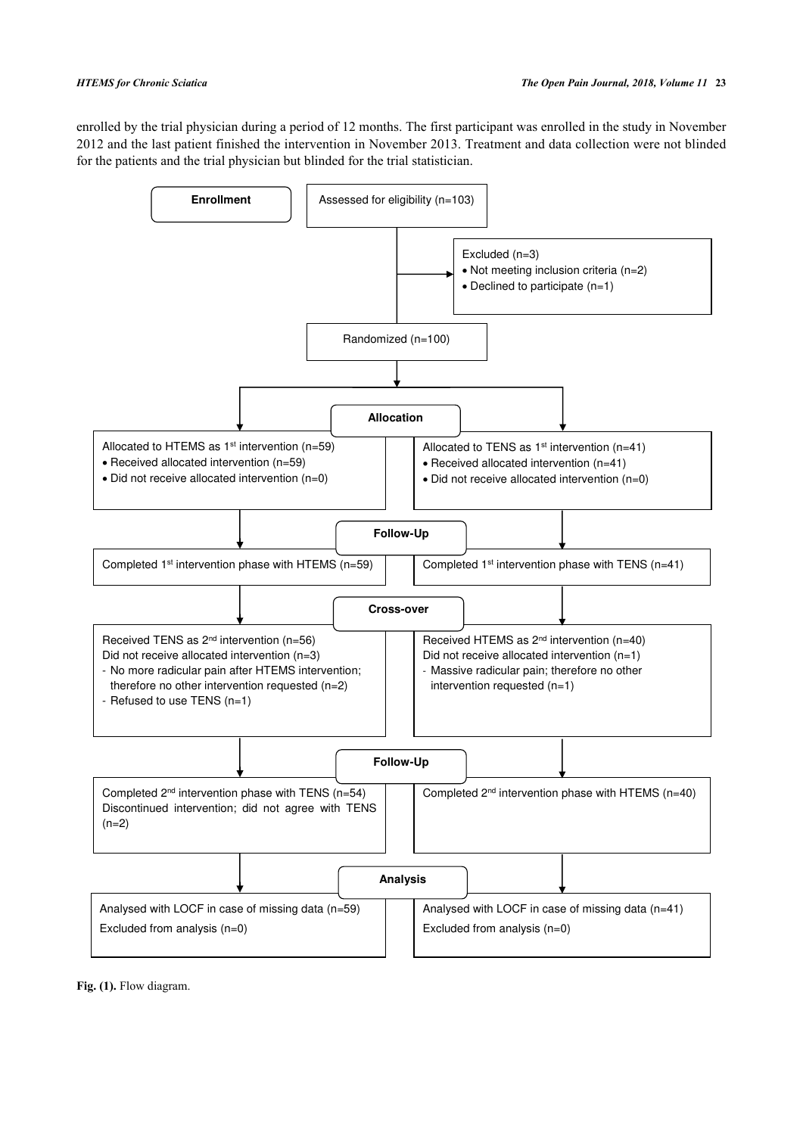enrolled by the trial physician during a period of 12 months. The first participant was enrolled in the study in November 2012 and the last patient finished the intervention in November 2013. Treatment and data collection were not blinded for the patients and the trial physician but blinded for the trial statistician.

<span id="page-2-0"></span>

Fig. (1). Flow diagram.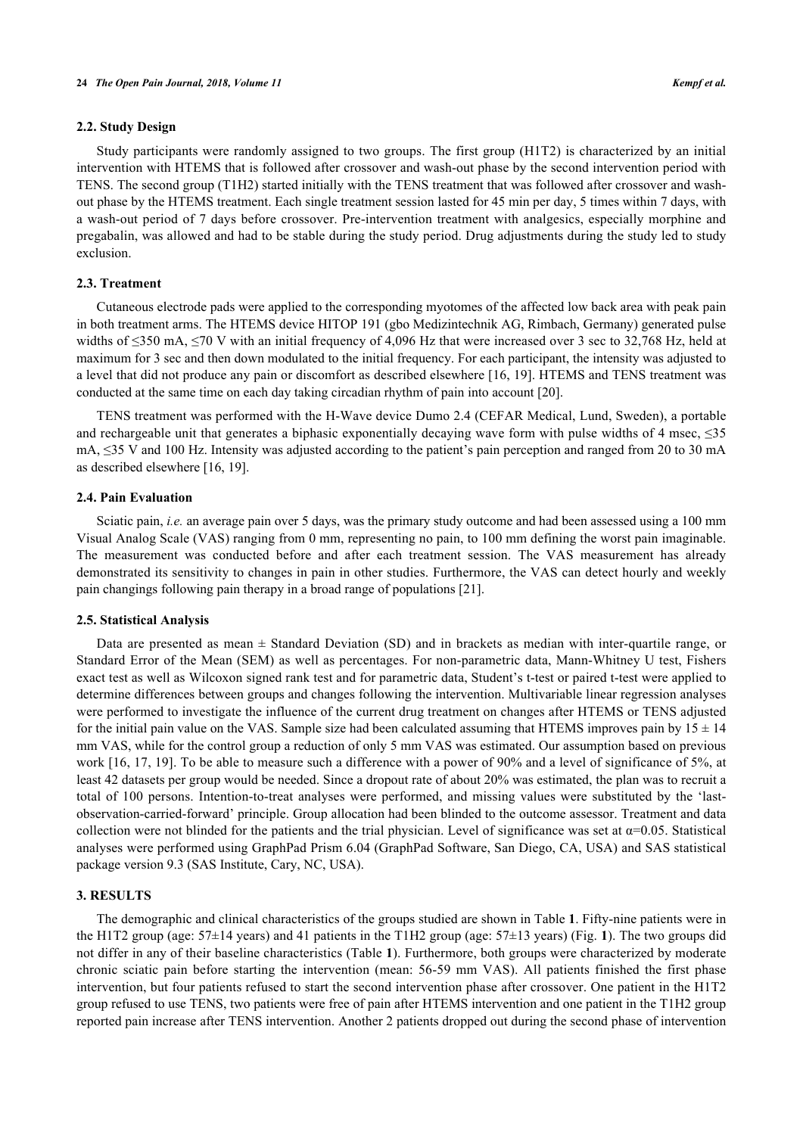### **2.2. Study Design**

Study participants were randomly assigned to two groups. The first group (H1T2) is characterized by an initial intervention with HTEMS that is followed after crossover and wash-out phase by the second intervention period with TENS. The second group (T1H2) started initially with the TENS treatment that was followed after crossover and washout phase by the HTEMS treatment. Each single treatment session lasted for 45 min per day, 5 times within 7 days, with a wash-out period of 7 days before crossover. Pre-intervention treatment with analgesics, especially morphine and pregabalin, was allowed and had to be stable during the study period. Drug adjustments during the study led to study exclusion.

#### **2.3. Treatment**

Cutaneous electrode pads were applied to the corresponding myotomes of the affected low back area with peak pain in both treatment arms. The HTEMS device HITOP 191 (gbo Medizintechnik AG, Rimbach, Germany) generated pulse widths of ≤350 mA, ≤70 V with an initial frequency of 4,096 Hz that were increased over 3 sec to 32,768 Hz, held at maximum for 3 sec and then down modulated to the initial frequency. For each participant, the intensity was adjusted to a level that did not produce any pain or discomfort as described elsewhere [[16,](#page-8-10) [19](#page-8-13)]. HTEMS and TENS treatment was conducted at the same time on each day taking circadian rhythm of pain into account [[20\]](#page-8-14).

TENS treatment was performed with the H-Wave device Dumo 2.4 (CEFAR Medical, Lund, Sweden), a portable and rechargeable unit that generates a biphasic exponentially decaying wave form with pulse widths of 4 msec, ≤35 mA, ≤35 V and 100 Hz. Intensity was adjusted according to the patient's pain perception and ranged from 20 to 30 mA as described elsewhere [\[16](#page-8-10), [19](#page-8-13)].

#### **2.4. Pain Evaluation**

Sciatic pain, *i.e.* an average pain over 5 days, was the primary study outcome and had been assessed using a 100 mm Visual Analog Scale (VAS) ranging from 0 mm, representing no pain, to 100 mm defining the worst pain imaginable. The measurement was conducted before and after each treatment session. The VAS measurement has already demonstrated its sensitivity to changes in pain in other studies. Furthermore, the VAS can detect hourly and weekly pain changings following pain therapy in a broad range of populations [[21\]](#page-8-15).

#### **2.5. Statistical Analysis**

Data are presented as mean ± Standard Deviation (SD) and in brackets as median with inter-quartile range, or Standard Error of the Mean (SEM) as well as percentages. For non-parametric data, Mann-Whitney U test, Fishers exact test as well as Wilcoxon signed rank test and for parametric data, Student's t-test or paired t-test were applied to determine differences between groups and changes following the intervention. Multivariable linear regression analyses were performed to investigate the influence of the current drug treatment on changes after HTEMS or TENS adjusted for the initial pain value on the VAS. Sample size had been calculated assuming that HTEMS improves pain by  $15 \pm 14$ mm VAS, while for the control group a reduction of only 5 mm VAS was estimated. Our assumption based on previous work [[16](#page-8-10), [17,](#page-8-11) [19](#page-8-13)]. To be able to measure such a difference with a power of 90% and a level of significance of 5%, at least 42 datasets per group would be needed. Since a dropout rate of about 20% was estimated, the plan was to recruit a total of 100 persons. Intention-to-treat analyses were performed, and missing values were substituted by the 'lastobservation-carried-forward' principle. Group allocation had been blinded to the outcome assessor. Treatment and data collection were not blinded for the patients and the trial physician. Level of significance was set at  $\alpha$ =0.05. Statistical analyses were performed using GraphPad Prism 6.04 (GraphPad Software, San Diego, CA, USA) and SAS statistical package version 9.3 (SAS Institute, Cary, NC, USA).

## **3. RESULTS**

The demographic and clinical characteristics of the groups studied are shown in Table **[1](#page-4-0)**. Fifty-nine patients were in the H1T2 group (age: 57±14 years) and 41 patients in the T1H2 group (age: 57±13 years) (Fig. **[1](#page-2-0)**). The two groups did not differ in any of their baseline characteristics (Table **[1](#page-4-0)**). Furthermore, both groups were characterized by moderate chronic sciatic pain before starting the intervention (mean: 56-59 mm VAS). All patients finished the first phase intervention, but four patients refused to start the second intervention phase after crossover. One patient in the H1T2 group refused to use TENS, two patients were free of pain after HTEMS intervention and one patient in the T1H2 group reported pain increase after TENS intervention. Another 2 patients dropped out during the second phase of intervention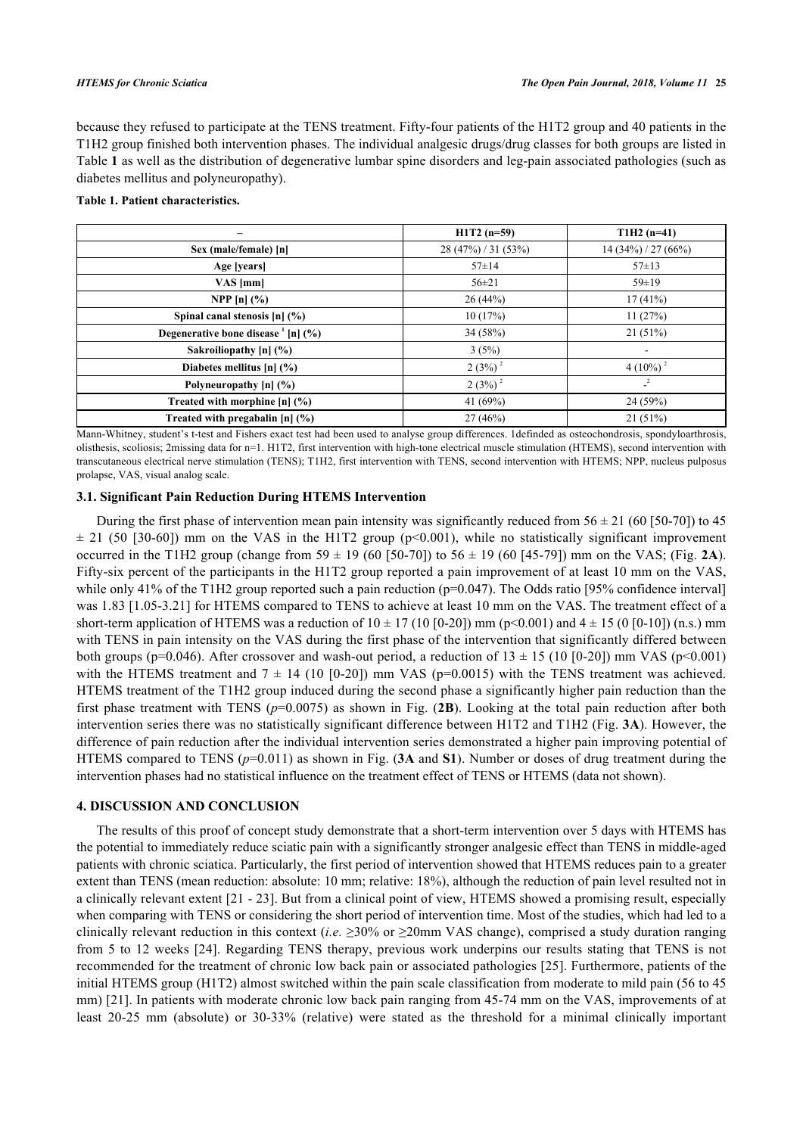because they refused to participate at the TENS treatment. Fifty-four patients of the H1T2 group and 40 patients in the T1H2 group finished both intervention phases. The individual analgesic drugs/drug classes for both groups are listed in Table **[1](#page-4-0)** as well as the distribution of degenerative lumbar spine disorders and leg-pain associated pathologies (such as diabetes mellitus and polyneuropathy).

## <span id="page-4-0"></span>**Table 1. Patient characteristics.**

|                                                           | $H1T2(n=59)$      | $T1H2(n=41)$           |
|-----------------------------------------------------------|-------------------|------------------------|
| Sex (male/female) [n]                                     | 28(47%) / 31(53%) | $14(34\%)/27(66\%)$    |
| Age [years]                                               | $57 \pm 14$       | $57 \pm 13$            |
| $VAS$ [mm]                                                | $56 \pm 21$       | $59 \pm 19$            |
| <b>NPP</b> $[n]$ $(\% )$                                  | 26(44%)           | 17(41%)                |
| Spinal canal stenosis $[n]$ (%)                           | 10(17%)           | 11(27%)                |
| Degenerative bone disease $\frac{1}{n}$ [n] $\frac{6}{6}$ | 34(58%)           | 21(51%)                |
| Sakroiliopathy $[n]$ (%)                                  | 3(5%)             | $\overline{a}$         |
| Diabetes mellitus $[n]$ (%)                               | $2(3%)^2$         | $4(10\%)$ <sup>2</sup> |
| Polyneuropathy [n] (%)                                    | $2(3%)^2$         | $\mathbf{r}^2$         |
| Treated with morphine $[n]$ (%)                           | 41 $(69%)$        | 24 (59%)               |
| Treated with pregabalin $[n]$ (%)                         | 27(46%)           | 21(51%)                |

Mann-Whitney, student's t-test and Fishers exact test had been used to analyse group differences. 1definded as osteochondrosis, spondyloarthrosis, olisthesis, scoliosis; 2missing data for n=1. H1T2, first intervention with high-tone electrical muscle stimulation (HTEMS), second intervention with transcutaneous electrical nerve stimulation (TENS); T1H2, first intervention with TENS, second intervention with HTEMS; NPP, nucleus pulposus prolapse, VAS, visual analog scale.

# **3.1. Significant Pain Reduction During HTEMS Intervention**

During the first phase of intervention mean pain intensity was significantly reduced from  $56 \pm 21$  (60 [50-70]) to 45  $\pm$ 21 (50 [[30](#page-9-0)-60]) mm on the VAS in the H1T2 group (p<0.001), while no statistically significant improvement occurred in the T1H2 group (change from  $59 \pm 19$  (60 [50-70]) to  $56 \pm 19$  (60 [45-79]) mm on the VAS; (Fig. [2A](#page-5-0)). Fifty-six percent of the participants in the H1T2 group reported a pain improvement of at least 10 mm on the VAS, while only 41% of the T1H2 group reported such a pain reduction ( $p=0.047$ ). The Odds ratio [95% confidence interval] was 1.83 [1.05-3.21] for HTEMS compared to TENS to achieve at least 10 mm on the VAS. The treatment effect of a short-term application of HTEMS was a reduction of  $10 \pm 17$  (10 [0-20]) mm (p<0.001) and  $4 \pm 15$  (0 [0-10]) (n.s.) mm with TENS in pain intensity on the VAS during the first phase of the intervention that significantly differed between both groups (p=0.046). After crossover and wash-out period, a reduction of  $13 \pm 15$  (10 [0-20]) mm VAS (p<0.001) with the HTEMS treatment and  $7 \pm 14$  (10 [0-20]) mm VAS (p=0.0015) with the TENS treatment was achieved. HTEMS treatment of the T1H2 group induced during the second phase a significantly higher pain reduction than the first phase treatment with TENS  $(p=0.0075)$  as shown in Fig. ([2B](#page-5-0)). Looking at the total pain reduction after both intervention series there was no statistically significant difference between H1T2 and T1H2 (Fig. **[3A](#page-5-1)**). However, the difference of pain reduction after the individual intervention series demonstrated a higher pain improving potential of HTEMS compared to TENS  $(p=0.011)$  as shown in Fig. ([3A](#page-5-1) and S1). Number or doses of drug treatment during the intervention phases had no statistical influence on the treatment effect of TENS or HTEMS (data not shown).

# **4. DISCUSSION AND CONCLUSION**

The results of this proof of concept study demonstrate that a short-term intervention over 5 days with HTEMS has the potential to immediately reduce sciatic pain with a significantly stronger analgesic effect than TENS in middle-aged patients with chronic sciatica. Particularly, the first period of intervention showed that HTEMS reduces pain to a greater extent than TENS (mean reduction: absolute: 10 mm; relative: 18%), although the reduction of pain level resulted not in a clinically relevant extent [[21](#page-8-15) - [23](#page-8-16)]. But from a clinical point of view, HTEMS showed a promising result, especially when comparing with TENS or considering the short period of intervention time. Most of the studies, which had led to a clinically relevant reduction in this context (*i.e.*  $\geq$ 30% or  $\geq$ 20mm VAS change), comprised a study duration ranging from 5 to 12 weeks [\[24\]](#page-8-17). Regarding TENS therapy, previous work underpins our results stating that TENS is not recommended for the treatment of chronic low back pain or associated pathologies [\[25\]](#page-8-18). Furthermore, patients of the initial HTEMS group (H1T2) almost switched within the pain scale classification from moderate to mild pain (56 to 45 mm) [[21](#page-8-15)]. In patients with moderate chronic low back pain ranging from 45-74 mm on the VAS, improvements of at least 20-25 mm (absolute) or 30-33% (relative) were stated as the threshold for a minimal clinically important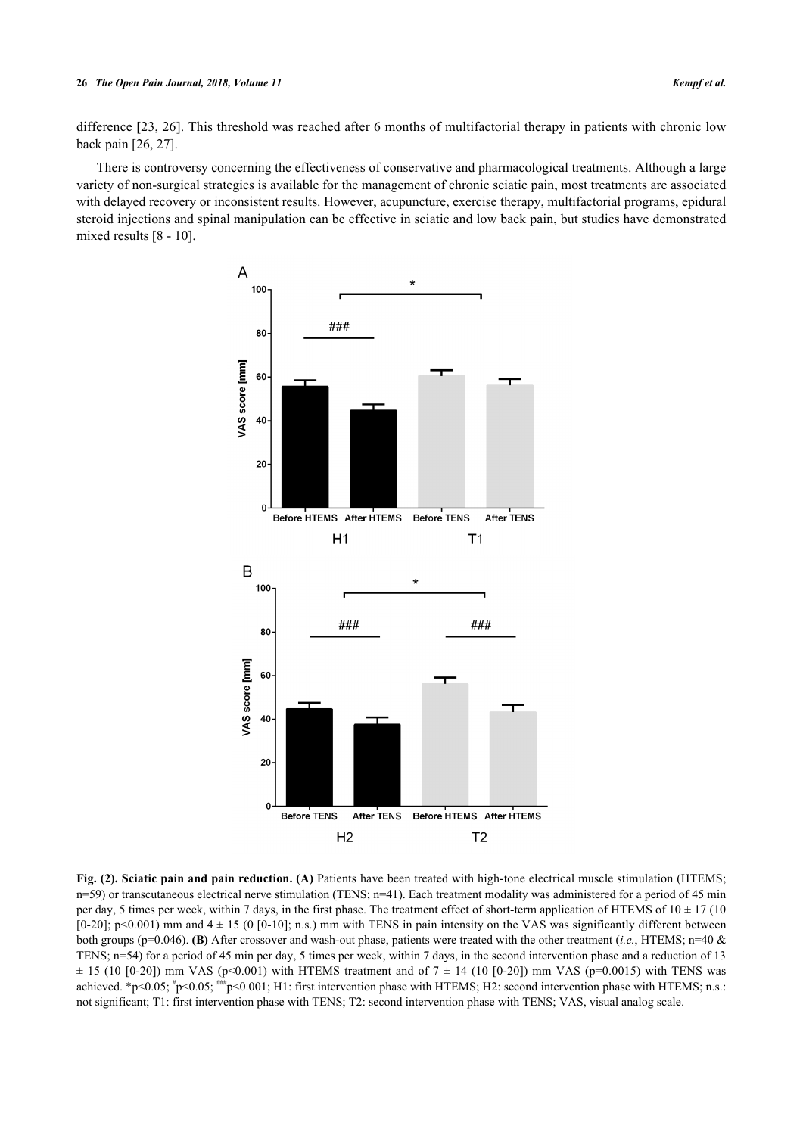#### **26** *The Open Pain Journal, 2018, Volume 11 Kempf et al.*

difference [[23,](#page-8-16) [26\]](#page-9-1). This threshold was reached after 6 months of multifactorial therapy in patients with chronic low back pain [\[26](#page-9-1), [27](#page-9-2)].

<span id="page-5-0"></span>There is controversy concerning the effectiveness of conservative and pharmacological treatments. Although a large variety of non-surgical strategies is available for the management of chronic sciatic pain, most treatments are associated with delayed recovery or inconsistent results. However, acupuncture, exercise therapy, multifactorial programs, epidural steroid injections and spinal manipulation can be effective in sciatic and low back pain, but studies have demonstrated mixed results [\[8](#page-8-2) - [10](#page-8-4)].



<span id="page-5-1"></span>**Fig. (2). Sciatic pain and pain reduction. (A)** Patients have been treated with high-tone electrical muscle stimulation (HTEMS; n=59) or transcutaneous electrical nerve stimulation (TENS; n=41). Each treatment modality was administered for a period of 45 min per day, 5 times per week, within 7 days, in the first phase. The treatment effect of short-term application of HTEMS of  $10 \pm 17$  (10  $[0-20]$ ; p<0.001) mm and  $4 \pm 15$  (0  $[0-10]$ ; n.s.) mm with TENS in pain intensity on the VAS was significantly different between both groups (p=0.046). **(B)** After crossover and wash-out phase, patients were treated with the other treatment (*i.e.*, HTEMS; n=40 & TENS; n=54) for a period of 45 min per day, 5 times per week, within 7 days, in the second intervention phase and a reduction of 13  $\pm$  15 (10 [0-20]) mm VAS (p<0.001) with HTEMS treatment and of 7  $\pm$  14 (10 [0-20]) mm VAS (p=0.0015) with TENS was achieved. \*p<0.05; \*p<0.05; \*\*\*p<0.001; H1: first intervention phase with HTEMS; H2: second intervention phase with HTEMS; n.s.: not significant; T1: first intervention phase with TENS; T2: second intervention phase with TENS; VAS, visual analog scale.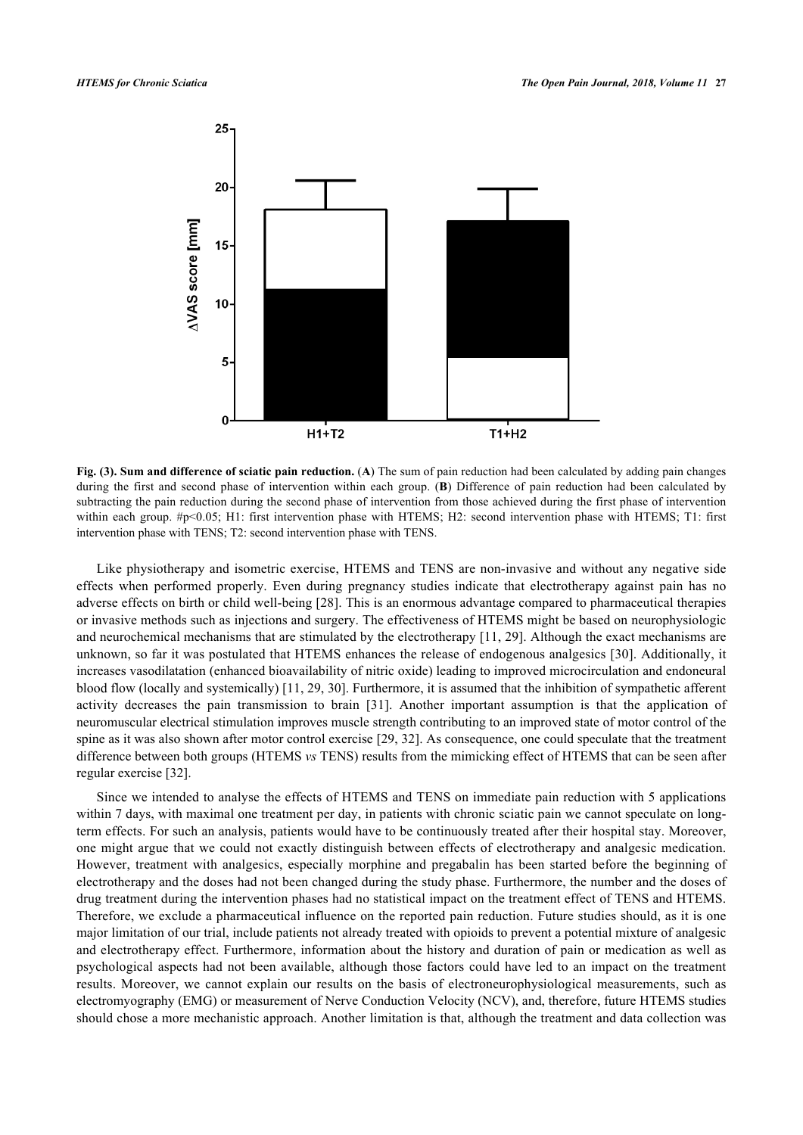

**Fig. (3). Sum and difference of sciatic pain reduction.** (**A**) The sum of pain reduction had been calculated by adding pain changes during the first and second phase of intervention within each group. (**B**) Difference of pain reduction had been calculated by subtracting the pain reduction during the second phase of intervention from those achieved during the first phase of intervention within each group. #p<0.05; H1: first intervention phase with HTEMS; H2: second intervention phase with HTEMS; T1: first intervention phase with TENS; T2: second intervention phase with TENS.

Like physiotherapy and isometric exercise, HTEMS and TENS are non-invasive and without any negative side effects when performed properly. Even during pregnancy studies indicate that electrotherapy against pain has no adverse effects on birth or child well-being [[28\]](#page-9-3). This is an enormous advantage compared to pharmaceutical therapies or invasive methods such as injections and surgery. The effectiveness of HTEMS might be based on neurophysiologic and neurochemical mechanisms that are stimulated by the electrotherapy [\[11](#page-8-5), [29\]](#page-9-4). Although the exact mechanisms are unknown, so far it was postulated that HTEMS enhances the release of endogenous analgesics [[30](#page-9-0)]. Additionally, it increases vasodilatation (enhanced bioavailability of nitric oxide) leading to improved microcirculation and endoneural blood flow (locally and systemically) [[11,](#page-8-5) [29,](#page-9-4) [30](#page-9-0)]. Furthermore, it is assumed that the inhibition of sympathetic afferent activity decreases the pain transmission to brain[[31](#page-9-5)]. Another important assumption is that the application of neuromuscular electrical stimulation improves muscle strength contributing to an improved state of motor control of the spine as it was also shown after motor control exercise [[29,](#page-9-4) [32\]](#page-9-6). As consequence, one could speculate that the treatment difference between both groups (HTEMS *vs* TENS) results from the mimicking effect of HTEMS that can be seen after regular exercise [\[32](#page-9-6)].

Since we intended to analyse the effects of HTEMS and TENS on immediate pain reduction with 5 applications within 7 days, with maximal one treatment per day, in patients with chronic sciatic pain we cannot speculate on longterm effects. For such an analysis, patients would have to be continuously treated after their hospital stay. Moreover, one might argue that we could not exactly distinguish between effects of electrotherapy and analgesic medication. However, treatment with analgesics, especially morphine and pregabalin has been started before the beginning of electrotherapy and the doses had not been changed during the study phase. Furthermore, the number and the doses of drug treatment during the intervention phases had no statistical impact on the treatment effect of TENS and HTEMS. Therefore, we exclude a pharmaceutical influence on the reported pain reduction. Future studies should, as it is one major limitation of our trial, include patients not already treated with opioids to prevent a potential mixture of analgesic and electrotherapy effect. Furthermore, information about the history and duration of pain or medication as well as psychological aspects had not been available, although those factors could have led to an impact on the treatment results. Moreover, we cannot explain our results on the basis of electroneurophysiological measurements, such as electromyography (EMG) or measurement of Nerve Conduction Velocity (NCV), and, therefore, future HTEMS studies should chose a more mechanistic approach. Another limitation is that, although the treatment and data collection was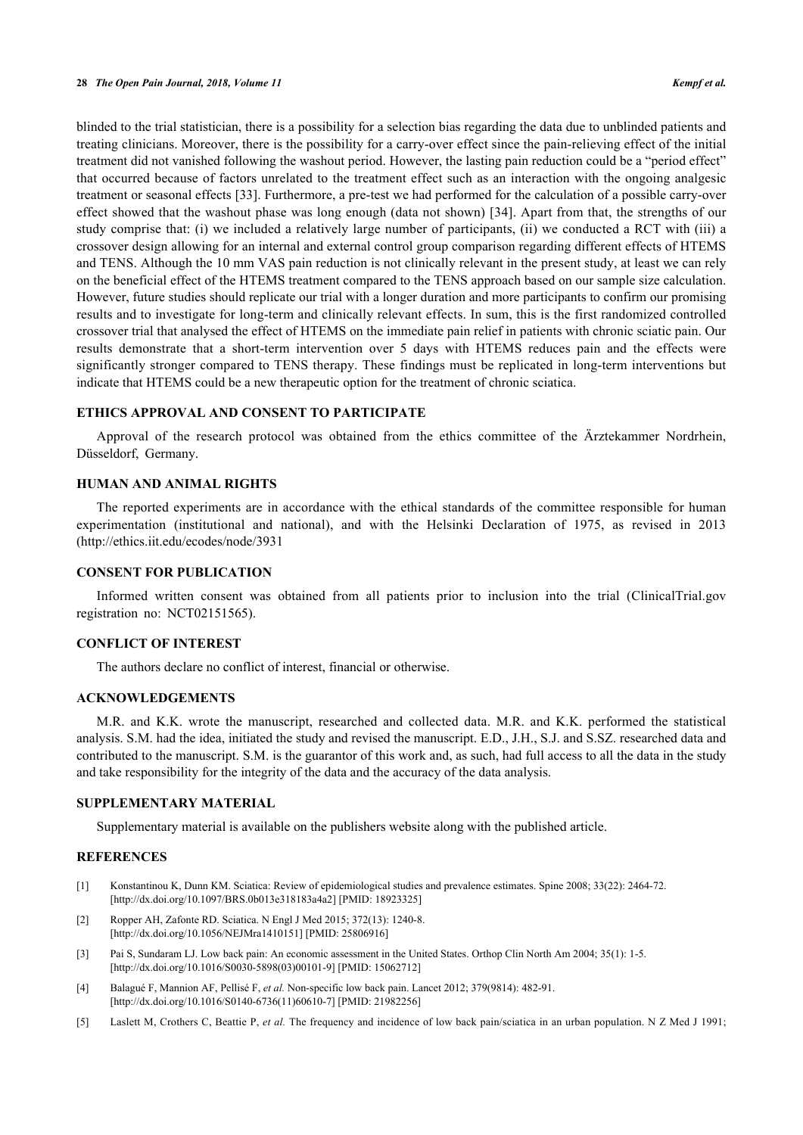blinded to the trial statistician, there is a possibility for a selection bias regarding the data due to unblinded patients and treating clinicians. Moreover, there is the possibility for a carry-over effect since the pain-relieving effect of the initial treatment did not vanished following the washout period. However, the lasting pain reduction could be a "period effect" that occurred because of factors unrelated to the treatment effect such as an interaction with the ongoing analgesic treatment or seasonal effects [[33\]](#page-9-7). Furthermore, a pre-test we had performed for the calculation of a possible carry-over effect showed that the washout phase was long enough (data not shown) [[34\]](#page-9-8). Apart from that, the strengths of our study comprise that: (i) we included a relatively large number of participants, (ii) we conducted a RCT with (iii) a crossover design allowing for an internal and external control group comparison regarding different effects of HTEMS and TENS. Although the 10 mm VAS pain reduction is not clinically relevant in the present study, at least we can rely on the beneficial effect of the HTEMS treatment compared to the TENS approach based on our sample size calculation. However, future studies should replicate our trial with a longer duration and more participants to confirm our promising results and to investigate for long-term and clinically relevant effects. In sum, this is the first randomized controlled crossover trial that analysed the effect of HTEMS on the immediate pain relief in patients with chronic sciatic pain. Our results demonstrate that a short-term intervention over 5 days with HTEMS reduces pain and the effects were significantly stronger compared to TENS therapy. These findings must be replicated in long-term interventions but indicate that HTEMS could be a new therapeutic option for the treatment of chronic sciatica.

## **ETHICS APPROVAL AND CONSENT TO PARTICIPATE**

Approval of the research protocol was obtained from the ethics committee of the Ärztekammer Nordrhein, Düsseldorf, Germany.

#### **HUMAN AND ANIMAL RIGHTS**

The reported experiments are in accordance with the ethical standards of the committee responsible for human experimentation (institutional and national), and with the Helsinki Declaration of 1975, as revised in 2013 [\(http://ethics.iit.edu/ecodes/node/3931](http://ethics.iit.edu/ecodes/node/3931)

## **CONSENT FOR PUBLICATION**

Informed written consent was obtained from all patients prior to inclusion into the trial (ClinicalTrial.gov registration no: NCT02151565).

## **CONFLICT OF INTEREST**

The authors declare no conflict of interest, financial or otherwise.

#### **ACKNOWLEDGEMENTS**

M.R. and K.K. wrote the manuscript, researched and collected data. M.R. and K.K. performed the statistical analysis. S.M. had the idea, initiated the study and revised the manuscript. E.D., J.H., S.J. and S.SZ. researched data and contributed to the manuscript. S.M. is the guarantor of this work and, as such, had full access to all the data in the study and take responsibility for the integrity of the data and the accuracy of the data analysis.

# **SUPPLEMENTARY MATERIAL**

Supplementary material is available on the publishers website along with the published article.

#### **REFERENCES**

- <span id="page-7-0"></span>[1] Konstantinou K, Dunn KM. Sciatica: Review of epidemiological studies and prevalence estimates. Spine 2008; 33(22): 2464-72. [\[http://dx.doi.org/10.1097/BRS.0b013e318183a4a2\]](http://dx.doi.org/10.1097/BRS.0b013e318183a4a2) [PMID: [18923325](http://www.ncbi.nlm.nih.gov/pubmed/18923325)]
- <span id="page-7-1"></span>[2] Ropper AH, Zafonte RD. Sciatica. N Engl J Med 2015; 372(13): 1240-8. [\[http://dx.doi.org/10.1056/NEJMra1410151\]](http://dx.doi.org/10.1056/NEJMra1410151) [PMID: [25806916](http://www.ncbi.nlm.nih.gov/pubmed/25806916)]
- <span id="page-7-2"></span>[3] Pai S, Sundaram LJ. Low back pain: An economic assessment in the United States. Orthop Clin North Am 2004; 35(1): 1-5. [\[http://dx.doi.org/10.1016/S0030-5898\(03\)00101-9\]](http://dx.doi.org/10.1016/S0030-5898(03)00101-9) [PMID: [15062712](http://www.ncbi.nlm.nih.gov/pubmed/15062712)]
- <span id="page-7-3"></span>[4] Balagué F, Mannion AF, Pellisé F, *et al.* Non-specific low back pain. Lancet 2012; 379(9814): 482-91. [\[http://dx.doi.org/10.1016/S0140-6736\(11\)60610-7\]](http://dx.doi.org/10.1016/S0140-6736(11)60610-7) [PMID: [21982256](http://www.ncbi.nlm.nih.gov/pubmed/21982256)]
- <span id="page-7-4"></span>[5] Laslett M, Crothers C, Beattie P, *et al.* The frequency and incidence of low back pain/sciatica in an urban population. N Z Med J 1991;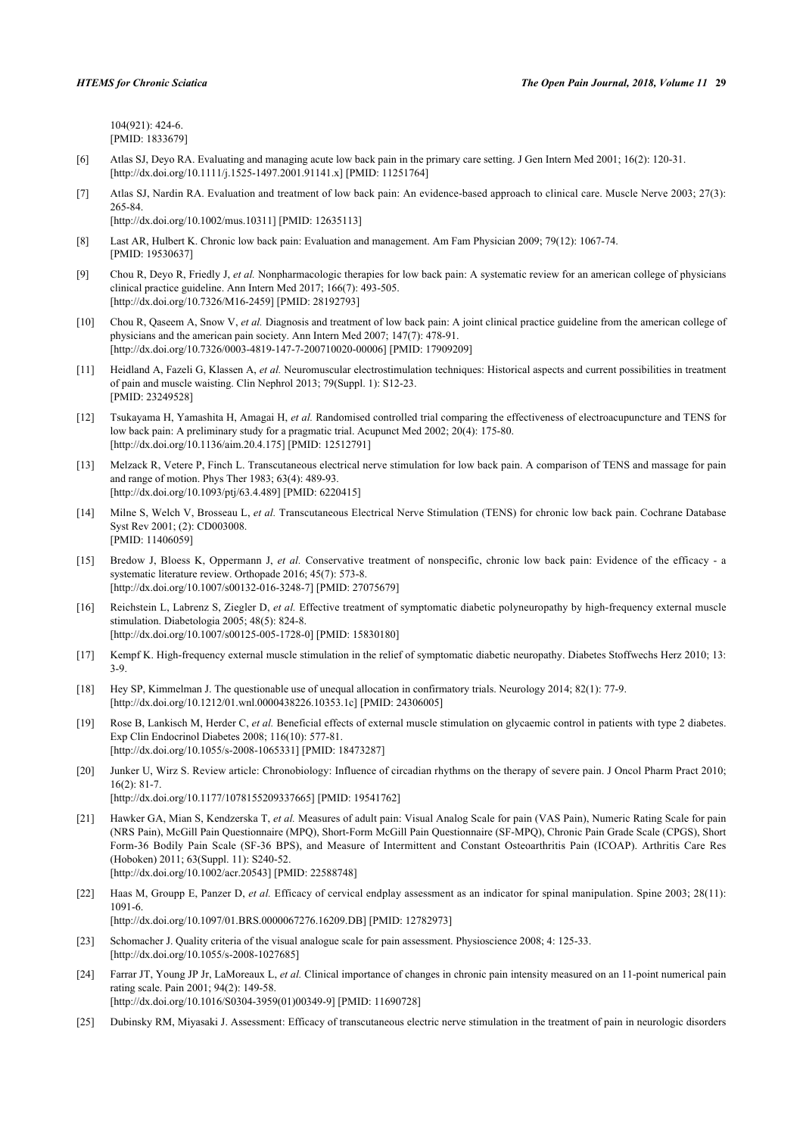104(921): 424-6. [PMID: [1833679\]](http://www.ncbi.nlm.nih.gov/pubmed/1833679)

- <span id="page-8-0"></span>[6] Atlas SJ, Deyo RA. Evaluating and managing acute low back pain in the primary care setting. J Gen Intern Med 2001; 16(2): 120-31. [\[http://dx.doi.org/10.1111/j.1525-1497.2001.91141.x\]](http://dx.doi.org/10.1111/j.1525-1497.2001.91141.x) [PMID: [11251764](http://www.ncbi.nlm.nih.gov/pubmed/11251764)]
- <span id="page-8-1"></span>[7] Atlas SJ, Nardin RA. Evaluation and treatment of low back pain: An evidence-based approach to clinical care. Muscle Nerve 2003; 27(3): 265-84.

[\[http://dx.doi.org/10.1002/mus.10311](http://dx.doi.org/10.1002/mus.10311)] [PMID: [12635113\]](http://www.ncbi.nlm.nih.gov/pubmed/12635113)

- <span id="page-8-2"></span>[8] Last AR, Hulbert K. Chronic low back pain: Evaluation and management. Am Fam Physician 2009; 79(12): 1067-74. [PMID: [19530637\]](http://www.ncbi.nlm.nih.gov/pubmed/19530637)
- <span id="page-8-3"></span>[9] Chou R, Deyo R, Friedly J, *et al.* Nonpharmacologic therapies for low back pain: A systematic review for an american college of physicians clinical practice guideline. Ann Intern Med 2017; 166(7): 493-505. [\[http://dx.doi.org/10.7326/M16-2459\]](http://dx.doi.org/10.7326/M16-2459) [PMID: [28192793](http://www.ncbi.nlm.nih.gov/pubmed/28192793)]
- <span id="page-8-4"></span>[10] Chou R, Qaseem A, Snow V, *et al.* Diagnosis and treatment of low back pain: A joint clinical practice guideline from the american college of physicians and the american pain society. Ann Intern Med 2007; 147(7): 478-91. [\[http://dx.doi.org/10.7326/0003-4819-147-7-200710020-00006](http://dx.doi.org/10.7326/0003-4819-147-7-200710020-00006)] [PMID: [17909209\]](http://www.ncbi.nlm.nih.gov/pubmed/17909209)
- <span id="page-8-5"></span>[11] Heidland A, Fazeli G, Klassen A, *et al.* Neuromuscular electrostimulation techniques: Historical aspects and current possibilities in treatment of pain and muscle waisting. Clin Nephrol 2013; 79(Suppl. 1): S12-23. [PMID: [23249528\]](http://www.ncbi.nlm.nih.gov/pubmed/23249528)
- <span id="page-8-6"></span>[12] Tsukayama H, Yamashita H, Amagai H, *et al.* Randomised controlled trial comparing the effectiveness of electroacupuncture and TENS for low back pain: A preliminary study for a pragmatic trial. Acupunct Med 2002; 20(4): 175-80. [\[http://dx.doi.org/10.1136/aim.20.4.175\]](http://dx.doi.org/10.1136/aim.20.4.175) [PMID: [12512791](http://www.ncbi.nlm.nih.gov/pubmed/12512791)]
- <span id="page-8-7"></span>[13] Melzack R, Vetere P, Finch L. Transcutaneous electrical nerve stimulation for low back pain. A comparison of TENS and massage for pain and range of motion. Phys Ther 1983; 63(4): 489-93. [\[http://dx.doi.org/10.1093/ptj/63.4.489](http://dx.doi.org/10.1093/ptj/63.4.489)] [PMID: [6220415](http://www.ncbi.nlm.nih.gov/pubmed/6220415)]
- <span id="page-8-8"></span>[14] Milne S, Welch V, Brosseau L, *et al.* Transcutaneous Electrical Nerve Stimulation (TENS) for chronic low back pain. Cochrane Database Syst Rev 2001; (2): CD003008. [PMID: [11406059\]](http://www.ncbi.nlm.nih.gov/pubmed/11406059)
- <span id="page-8-9"></span>[15] Bredow J, Bloess K, Oppermann J, *et al.* Conservative treatment of nonspecific, chronic low back pain: Evidence of the efficacy - a systematic literature review. Orthopade 2016; 45(7): 573-8. [\[http://dx.doi.org/10.1007/s00132-016-3248-7\]](http://dx.doi.org/10.1007/s00132-016-3248-7) [PMID: [27075679](http://www.ncbi.nlm.nih.gov/pubmed/27075679)]
- <span id="page-8-10"></span>[16] Reichstein L, Labrenz S, Ziegler D, *et al.* Effective treatment of symptomatic diabetic polyneuropathy by high-frequency external muscle stimulation. Diabetologia 2005; 48(5): 824-8. [\[http://dx.doi.org/10.1007/s00125-005-1728-0\]](http://dx.doi.org/10.1007/s00125-005-1728-0) [PMID: [15830180](http://www.ncbi.nlm.nih.gov/pubmed/15830180)]
- <span id="page-8-11"></span>[17] Kempf K. High-frequency external muscle stimulation in the relief of symptomatic diabetic neuropathy. Diabetes Stoffwechs Herz 2010; 13: 3-9.
- <span id="page-8-12"></span>[18] Hey SP, Kimmelman J. The questionable use of unequal allocation in confirmatory trials. Neurology 2014; 82(1): 77-9. [\[http://dx.doi.org/10.1212/01.wnl.0000438226.10353.1c](http://dx.doi.org/10.1212/01.wnl.0000438226.10353.1c)] [PMID: [24306005\]](http://www.ncbi.nlm.nih.gov/pubmed/24306005)
- <span id="page-8-13"></span>[19] Rose B, Lankisch M, Herder C, *et al.* Beneficial effects of external muscle stimulation on glycaemic control in patients with type 2 diabetes. Exp Clin Endocrinol Diabetes 2008; 116(10): 577-81. [\[http://dx.doi.org/10.1055/s-2008-1065331](http://dx.doi.org/10.1055/s-2008-1065331)] [PMID: [18473287\]](http://www.ncbi.nlm.nih.gov/pubmed/18473287)
- <span id="page-8-14"></span>[20] Junker U, Wirz S. Review article: Chronobiology: Influence of circadian rhythms on the therapy of severe pain. J Oncol Pharm Pract 2010; 16(2): 81-7. [\[http://dx.doi.org/10.1177/1078155209337665\]](http://dx.doi.org/10.1177/1078155209337665) [PMID: [19541762](http://www.ncbi.nlm.nih.gov/pubmed/19541762)]
- <span id="page-8-15"></span>[21] Hawker GA, Mian S, Kendzerska T, *et al.* Measures of adult pain: Visual Analog Scale for pain (VAS Pain), Numeric Rating Scale for pain (NRS Pain), McGill Pain Questionnaire (MPQ), Short-Form McGill Pain Questionnaire (SF-MPQ), Chronic Pain Grade Scale (CPGS), Short Form-36 Bodily Pain Scale (SF-36 BPS), and Measure of Intermittent and Constant Osteoarthritis Pain (ICOAP). Arthritis Care Res (Hoboken) 2011; 63(Suppl. 11): S240-52. [\[http://dx.doi.org/10.1002/acr.20543\]](http://dx.doi.org/10.1002/acr.20543) [PMID: [22588748](http://www.ncbi.nlm.nih.gov/pubmed/22588748)]
- [22] Haas M, Groupp E, Panzer D, *et al.* Efficacy of cervical endplay assessment as an indicator for spinal manipulation. Spine 2003; 28(11): 1091-6. [\[http://dx.doi.org/10.1097/01.BRS.0000067276.16209.DB](http://dx.doi.org/10.1097/01.BRS.0000067276.16209.DB)] [PMID: [12782973\]](http://www.ncbi.nlm.nih.gov/pubmed/12782973)
- 
- <span id="page-8-16"></span>[23] Schomacher J. Quality criteria of the visual analogue scale for pain assessment. Physioscience 2008; 4: 125-33. [\[http://dx.doi.org/10.1055/s-2008-1027685](http://dx.doi.org/10.1055/s-2008-1027685)]
- <span id="page-8-17"></span>[24] Farrar JT, Young JP Jr, LaMoreaux L, *et al.* Clinical importance of changes in chronic pain intensity measured on an 11-point numerical pain rating scale. Pain 2001; 94(2): 149-58. [\[http://dx.doi.org/10.1016/S0304-3959\(01\)00349-9\]](http://dx.doi.org/10.1016/S0304-3959(01)00349-9) [PMID: [11690728](http://www.ncbi.nlm.nih.gov/pubmed/11690728)]
- <span id="page-8-18"></span>[25] Dubinsky RM, Miyasaki J. Assessment: Efficacy of transcutaneous electric nerve stimulation in the treatment of pain in neurologic disorders